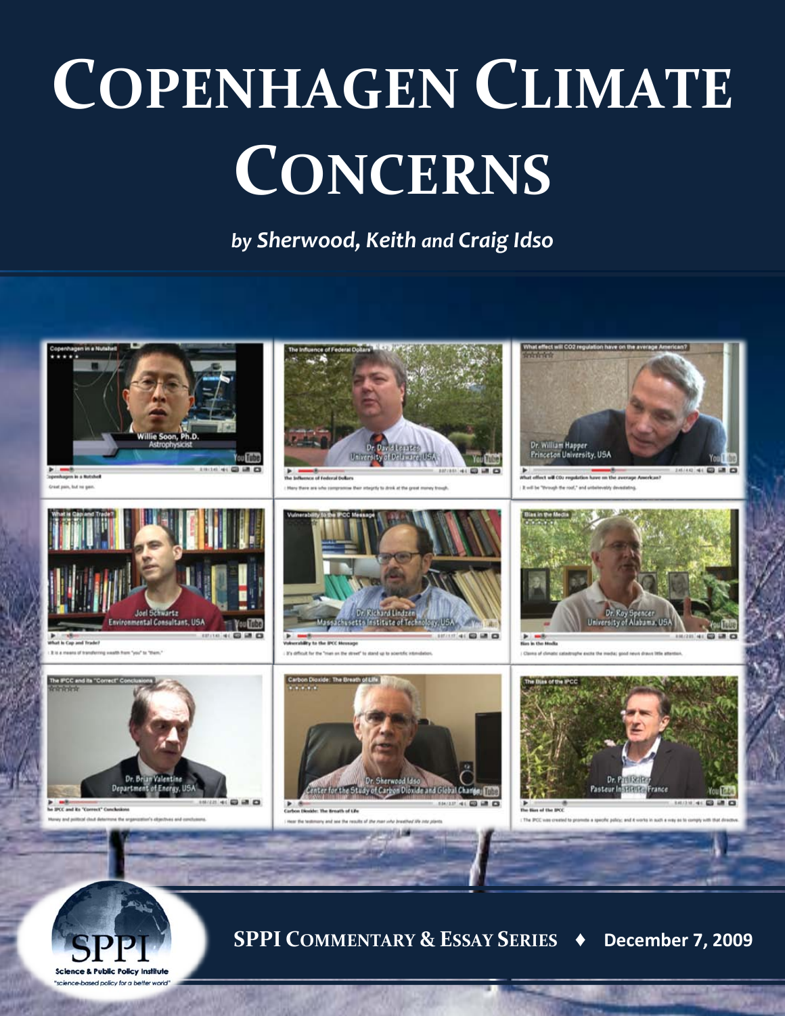# **COPENHAGEN CLIMATE CONCERNS**

*by Sherwood, Keith and Craig Idso*





**SPPI COMMENTARY & ESSAY SERIES ♦ December 7, 2009**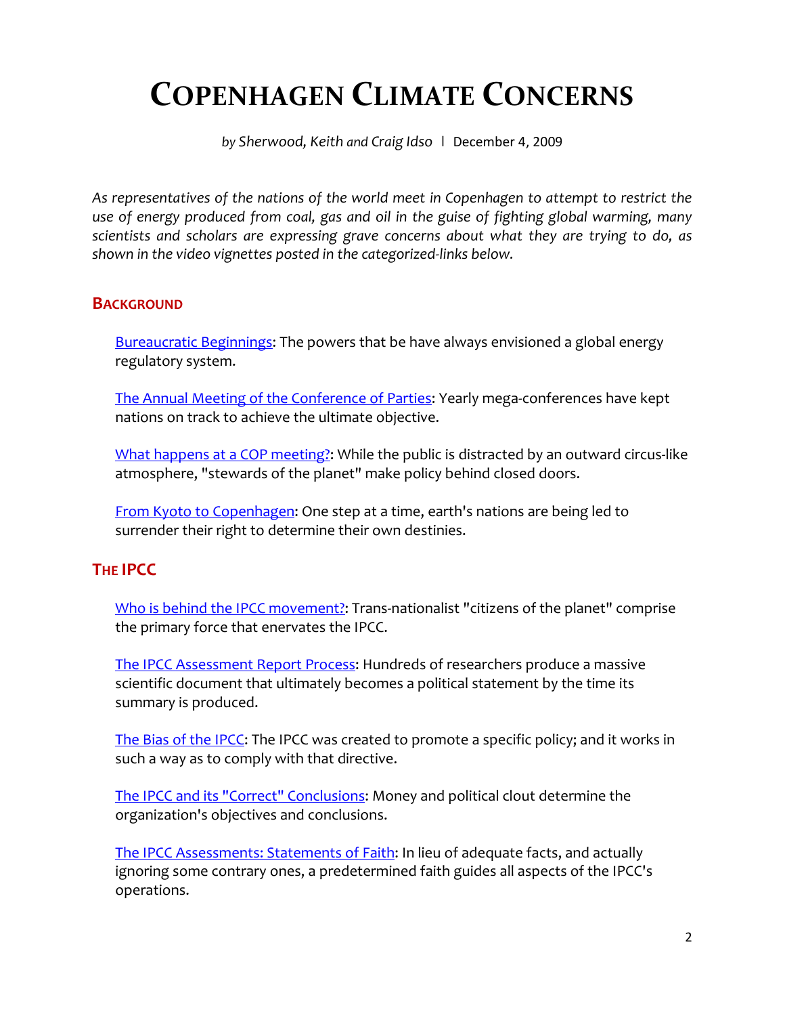# **COPENHAGEN CLIMATE CONCERNS**

*by Sherwood, Keith and Craig Idso* **|** December 4, 2009

*As representatives of the nations of the world meet in Copenhagen to attempt to restrict the use of energy produced from coal, gas and oil in the guise of fighting global warming, many scientists and scholars are expressing grave concerns about what they are trying to do, as shown in the video vignettes posted in the categorized-links below.*

#### **BACKGROUND**

[Bureaucratic Beginnings:](http://www.co2science.org/video/cop/cop15/background.php#bureaucratic) The powers that be have always envisioned a global energy regulatory system.

[The Annual Meeting of the Conference of Parties:](http://www.co2science.org/video/cop/cop15/background.php#annualmeeting) Yearly mega-conferences have kept nations on track to achieve the ultimate objective.

[What happens at a COP meeting?:](http://www.co2science.org/video/cop/cop15/background.php#copmeeting) While the public is distracted by an outward circus-like atmosphere, "stewards of the planet" make policy behind closed doors.

[From Kyoto to Copenhagen:](http://www.co2science.org/video/cop/cop15/background.php#kyoto) One step at a time, earth's nations are being led to surrender their right to determine their own destinies.

# **THE IPCC**

[Who is behind the IPCC movement?:](http://www.co2science.org/video/cop/cop15/ipcc.php#movement) Trans-nationalist "citizens of the planet" comprise the primary force that enervates the IPCC.

[The IPCC Assessment Report Process:](http://www.co2science.org/video/cop/cop15/ipcc.php#process) Hundreds of researchers produce a massive scientific document that ultimately becomes a political statement by the time its summary is produced.

[The Bias of the IPCC:](http://www.co2science.org/video/cop/cop15/ipcc.php#bias) The IPCC was created to promote a specific policy; and it works in such a way as to comply with that directive.

[The IPCC and its "Correct" Conclusions:](http://www.co2science.org/video/cop/cop15/ipcc.php#conclusions) Money and political clout determine the organization's objectives and conclusions.

[The IPCC Assessments: Statements of Faith:](http://www.co2science.org/video/cop/cop15/ipcc.php#faith) In lieu of adequate facts, and actually ignoring some contrary ones, a predetermined faith guides all aspects of the IPCC's operations.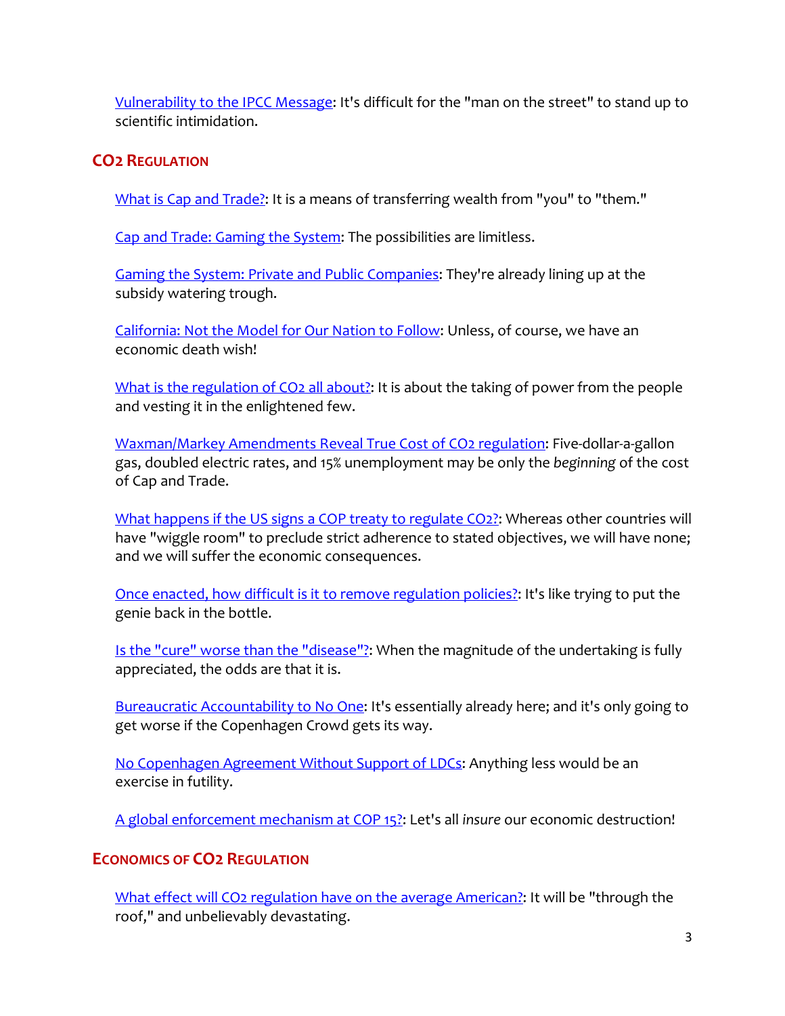[Vulnerability to the IPCC Message:](http://www.co2science.org/video/cop/cop15/ipcc.php#vulnerability) It's difficult for the "man on the street" to stand up to scientific intimidation.

# **CO2 REGULATION**

[What is Cap and Trade?:](http://www.co2science.org/video/cop/cop15/co2regulation.php#capntrade) It is a means of transferring wealth from "you" to "them."

[Cap and Trade: Gaming the System:](http://www.co2science.org/video/cop/cop15/co2regulation.php#gaming) The possibilities are limitless.

[Gaming the System: Private and Public Companies:](http://www.co2science.org/video/cop/cop15/co2regulation.php#companies) They're already lining up at the subsidy watering trough.

[California: Not the Model for Our Nation to Follow:](http://www.co2science.org/video/cop/cop15/co2regulation.php#california) Unless, of course, we have an economic death wish!

[What is the regulation of CO2 all about?:](http://www.co2science.org/video/cop/cop15/co2regulation.php#allabout) It is about the taking of power from the people and vesting it in the enlightened few.

[Waxman/Markey Amendments Reveal True Cost of CO2 regulation:](http://www.co2science.org/video/cop/cop15/co2regulation.php#waxman) Five-dollar-a-gallon gas, doubled electric rates, and 15% unemployment may be only the *beginning* of the cost of Cap and Trade.

[What happens if the US signs a COP treaty to regulate CO2?:](http://www.co2science.org/video/cop/cop15/co2regulation.php#treaty) Whereas other countries will have "wiggle room" to preclude strict adherence to stated objectives, we will have none; and we will suffer the economic consequences.

[Once enacted, how difficult is it to remove regulation policies?:](http://www.co2science.org/video/cop/cop15/co2regulation.php#remove) It's like trying to put the genie back in the bottle.

[Is the "cure" worse than the "disease"?:](http://www.co2science.org/video/cop/cop15/co2regulation.php#cure) When the magnitude of the undertaking is fully appreciated, the odds are that it is.

[Bureaucratic Accountability to No One:](http://www.co2science.org/video/cop/cop15/co2regulation.php#accountability) It's essentially already here; and it's only going to get worse if the Copenhagen Crowd gets its way.

[No Copenhagen Agreement Without Support of LDCs:](http://www.co2science.org/video/cop/cop15/co2regulation.php#ldcs) Anything less would be an exercise in futility.

[A global enforcement mechanism at COP 15?:](http://www.co2science.org/video/cop/cop15/co2regulation.php#enforcement) Let's all *insure* our economic destruction!

# **ECONOMICS OF CO2 REGULATION**

[What effect will CO2 regulation have on the average American?:](http://www.co2science.org/video/cop/cop15/economics.php#economics) It will be "through the roof," and unbelievably devastating.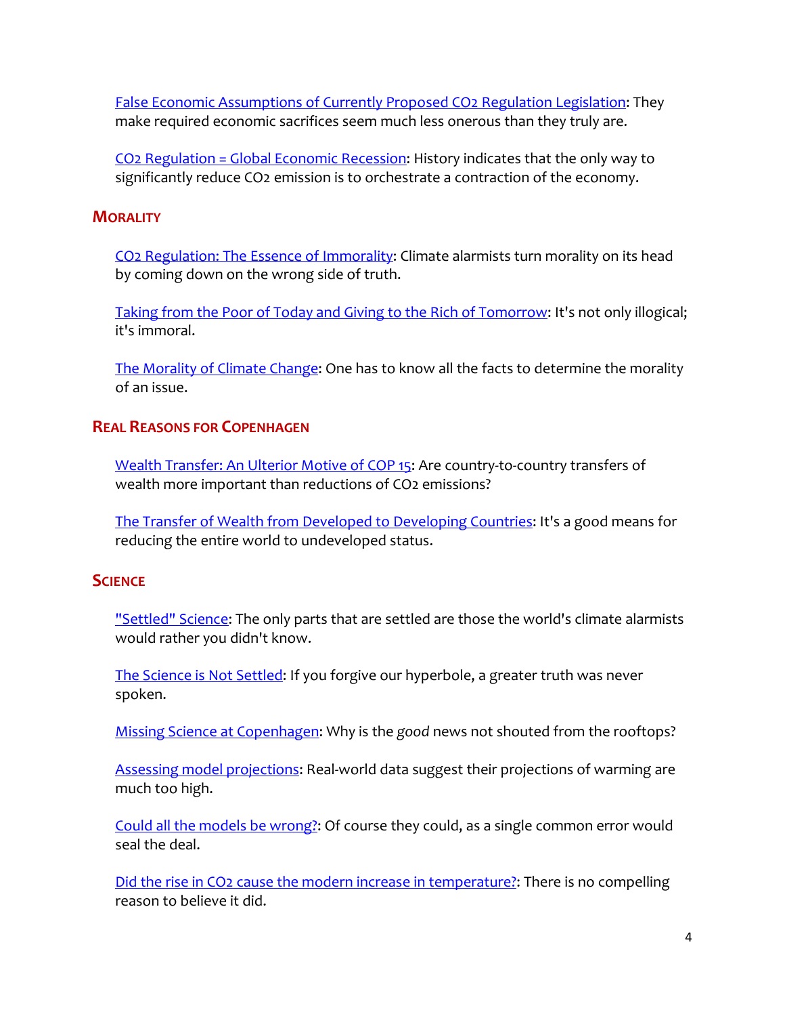[False Economic Assumptions of Currently Proposed CO2 Regulation Legislation:](http://www.co2science.org/video/cop/cop15/economics.php#assumptions) They make required economic sacrifices seem much less onerous than they truly are.

[CO2 Regulation = Global Economic Recession:](http://www.co2science.org/video/cop/cop15/economics.php#recession) History indicates that the only way to significantly reduce CO2 emission is to orchestrate a contraction of the economy.

#### **MORALITY**

[CO2 Regulation: The Essence of Immorality:](http://www.co2science.org/video/cop/cop15/morality.php#immorality) Climate alarmists turn morality on its head by coming down on the wrong side of truth.

[Taking from the Poor of Today and Giving to the Rich of Tomorrow:](http://www.co2science.org/video/cop/cop15/morality.php#poor) It's not only illogical; it's immoral.

[The Morality of Climate Change:](http://www.co2science.org/video/cop/cop15/morality.php#climate) One has to know all the facts to determine the morality of an issue.

### **REAL REASONS FOR COPENHAGEN**

[Wealth Transfer: An Ulterior Motive of COP 15:](http://www.co2science.org/video/cop/cop15/realreasons.php#ulterior) Are country-to-country transfers of wealth more important than reductions of CO2 emissions?

[The Transfer of Wealth from Developed to Developing Countries:](http://www.co2science.org/video/cop/cop15/realreasons.php#wealth) It's a good means for reducing the entire world to undeveloped status.

# **SCIENCE**

["Settled" Science:](http://www.co2science.org/video/cop/cop15/science.php#science) The only parts that are settled are those the world's climate alarmists would rather you didn't know.

[The Science is Not](http://www.co2science.org/video/cop/cop15/science.php#notsettled) Settled: If you forgive our hyperbole, a greater truth was never spoken.

[Missing Science at Copenhagen:](http://www.co2science.org/video/cop/cop15/science.php#missing) Why is the *good* news not shouted from the rooftops?

[Assessing model projections:](http://www.co2science.org/video/cop/cop15/science.php#models) Real-world data suggest their projections of warming are much too high.

Could [all the models be wrong?:](http://www.co2science.org/video/cop/cop15/science.php#wrong) Of course they could, as a single common error would seal the deal.

[Did the rise in CO2 cause the modern increase in temperature?:](http://www.co2science.org/video/cop/cop15/science.php#correlation) There is no compelling reason to believe it did.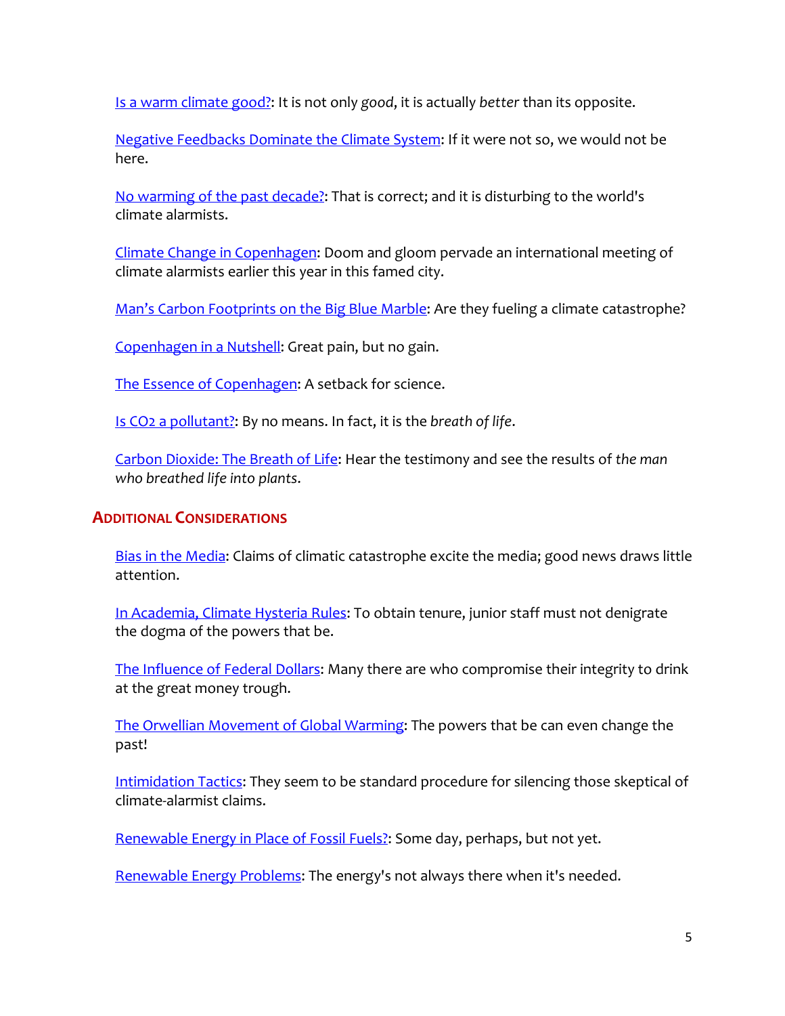[Is a warm climate good?:](http://www.co2science.org/video/cop/cop15/science.php#warm) It is not only *good*, it is actually *better* than its opposite.

[Negative Feedbacks Dominate the Climate System:](http://www.co2science.org/video/cop/cop15/science.php#feedbacks) If it were not so, we would not be here.

[No warming of the past decade?:](http://www.co2science.org/video/cop/cop15/science.php#decade) That is correct; and it is disturbing to the world's climate alarmists.

[Climate Change in Copenhagen:](http://www.co2science.org/video/cop/cop15/science.php#cop) Doom and gloom pervade an international meeting of climate alarmists earlier this year in this famed city.

[Man's Carbon Footprints on the Big Blue Marble:](http://www.co2science.org/video/cop/cop15/science.php#coleman) Are they fueling a climate catastrophe?

[Copenhagen in a Nutshell:](http://www.co2science.org/video/cop/cop15/science.php#nutshell) Great pain, but no gain.

[The Essence of Copenhagen:](http://www.co2science.org/video/cop/cop15/science.php#essence) A setback for science.

[Is CO2 a pollutant?:](http://www.co2science.org/video/cop/cop15/science.php#pollutant) By no means. In fact, it is the *breath of life*.

[Carbon Dioxide: The Breath of Life:](http://www.co2science.org/video/cop/cop15/science.php#breath) Hear the testimony and see the results of *the man who breathed life into plants*.

# **ADDITIONAL CONSIDERATIONS**

[Bias in the Media:](http://www.co2science.org/video/cop/cop15/other.php#media) Claims of climatic catastrophe excite the media; good news draws little attention.

[In Academia, Climate Hysteria Rules:](http://www.co2science.org/video/cop/cop15/other.php#hysteria) To obtain tenure, junior staff must not denigrate the dogma of the powers that be.

[The Influence of Federal Dollars:](http://www.co2science.org/video/cop/cop15/other.php#dollars) Many there are who compromise their integrity to drink at the great money trough.

[The Orwellian Movement of Global Warming:](http://www.co2science.org/video/cop/cop15/other.php#orwellian) The powers that be can even change the past!

[Intimidation Tactics:](http://www.co2science.org/video/cop/cop15/other.php#intimidation) They seem to be standard procedure for silencing those skeptical of climate-alarmist claims.

[Renewable Energy in Place of Fossil Fuels?:](http://www.co2science.org/video/cop/cop15/other.php#renewable) Some day, perhaps, but not yet.

[Renewable Energy Problems:](http://www.co2science.org/video/cop/cop15/other.php#problems) The energy's not always there when it's needed.